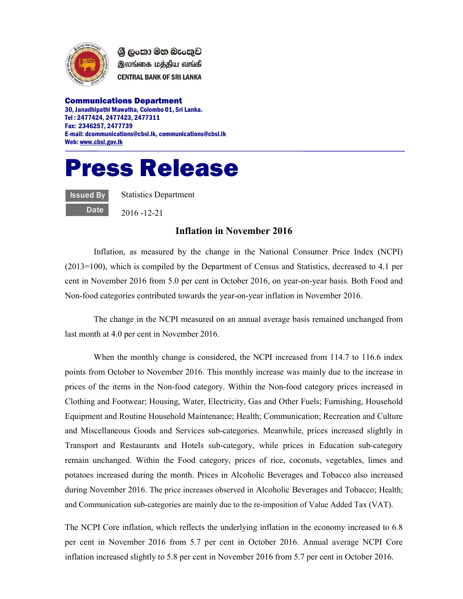

ශී ලංකා මහ බැංකුව இலங்கை மத்திய வங்கி **CENTRAL BANK OF SRI LANKA** 

Communications Department 30, Janadhipathi Mawatha, Colombo 01, Sri Lanka. Tel : 2477424, 2477423, 2477311 Fax: 2346257, 2477739 E-mail: dcommunications@cbsl.lk, communications@cbsl.lk Web: www.cbsl.gov.lk

## Press Release

Issued By Statistics Department

Date 2016 -12-21

## Inflation in November 2016

 Inflation, as measured by the change in the National Consumer Price Index (NCPI) (2013=100), which is compiled by the Department of Census and Statistics, decreased to 4.1 per cent in November 2016 from 5.0 per cent in October 2016, on year-on-year basis. Both Food and Non-food categories contributed towards the year-on-year inflation in November 2016.

 The change in the NCPI measured on an annual average basis remained unchanged from last month at 4.0 per cent in November 2016.

 When the monthly change is considered, the NCPI increased from 114.7 to 116.6 index points from October to November 2016. This monthly increase was mainly due to the increase in prices of the items in the Non-food category. Within the Non-food category prices increased in Clothing and Footwear; Housing, Water, Electricity, Gas and Other Fuels; Furnishing, Household Equipment and Routine Household Maintenance; Health; Communication; Recreation and Culture and Miscellaneous Goods and Services sub-categories. Meanwhile, prices increased slightly in Transport and Restaurants and Hotels sub-category, while prices in Education sub-category remain unchanged. Within the Food category, prices of rice, coconuts, vegetables, limes and potatoes increased during the month. Prices in Alcoholic Beverages and Tobacco also increased during November 2016. The price increases observed in Alcoholic Beverages and Tobacco; Health; and Communication sub-categories are mainly due to the re-imposition of Value Added Tax (VAT).

The NCPI Core inflation, which reflects the underlying inflation in the economy increased to 6.8 per cent in November 2016 from 5.7 per cent in October 2016. Annual average NCPI Core inflation increased slightly to 5.8 per cent in November 2016 from 5.7 per cent in October 2016.